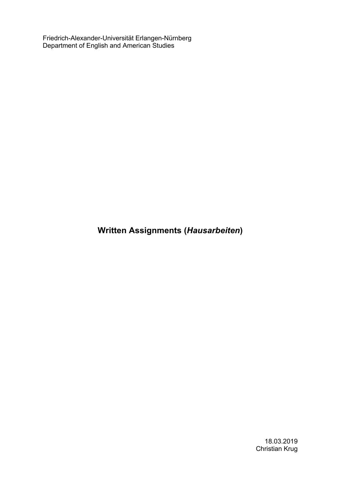Friedrich-Alexander-Universität Erlangen-Nürnberg Department of English and American Studies

**Written Assignments (***Hausarbeiten***)**

18.03.2019 Christian Krug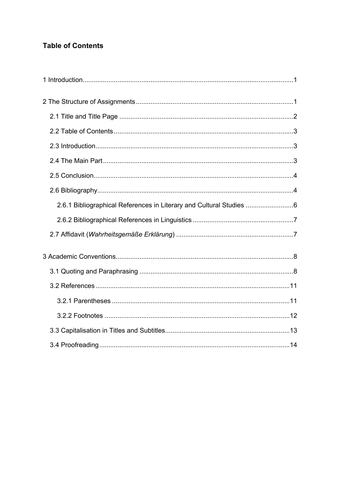# **Table of Contents**

| 2.6.1 Bibliographical References in Literary and Cultural Studies |  |
|-------------------------------------------------------------------|--|
|                                                                   |  |
|                                                                   |  |
|                                                                   |  |
|                                                                   |  |
|                                                                   |  |
|                                                                   |  |
|                                                                   |  |
|                                                                   |  |
|                                                                   |  |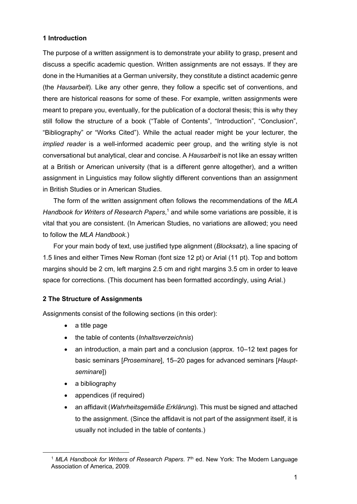# **1 Introduction**

The purpose of a written assignment is to demonstrate your ability to grasp, present and discuss a specific academic question. Written assignments are not essays. If they are done in the Humanities at a German university, they constitute a distinct academic genre (the *Hausarbeit*). Like any other genre, they follow a specific set of conventions, and there are historical reasons for some of these. For example, written assignments were meant to prepare you, eventually, for the publication of a doctoral thesis; this is why they still follow the structure of a book ("Table of Contents", "Introduction", "Conclusion", "Bibliography" or "Works Cited"). While the actual reader might be your lecturer, the *implied reader* is a well-informed academic peer group, and the writing style is not conversational but analytical, clear and concise. A *Hausarbeit* is not like an essay written at a British or American university (that is a different genre altogether), and a written assignment in Linguistics may follow slightly different conventions than an assignment in British Studies or in American Studies.

The form of the written assignment often follows the recommendations of the *MLA Handbook for Writers of Research Papers*, <sup>1</sup> and while some variations are possible, it is vital that you are consistent. (In American Studies, no variations are allowed; you need to follow the *MLA Handbook.*)

For your main body of text, use justified type alignment (*Blocksatz*), a line spacing of 1.5 lines and either Times New Roman (font size 12 pt) or Arial (11 pt). Top and bottom margins should be 2 cm, left margins 2.5 cm and right margins 3.5 cm in order to leave space for corrections. (This document has been formatted accordingly, using Arial.)

## **2 The Structure of Assignments**

Assignments consist of the following sections (in this order):

- a title page
- the table of contents (*Inhaltsverzeichnis*)
- an introduction, a main part and a conclusion (approx. 10–12 text pages for basic seminars [*Proseminare*], 15–20 pages for advanced seminars [*Hauptseminare*])
- a bibliography

 $\overline{a}$ 

- appendices (if required)
- an affidavit (*Wahrheitsgemäße Erklärung*). This must be signed and attached to the assignment. (Since the affidavit is not part of the assignment itself, it is usually not included in the table of contents.)

<sup>1</sup> *MLA Handbook for Writers of Research Papers*. 7th ed. New York: The Modern Language Association of America, 2009.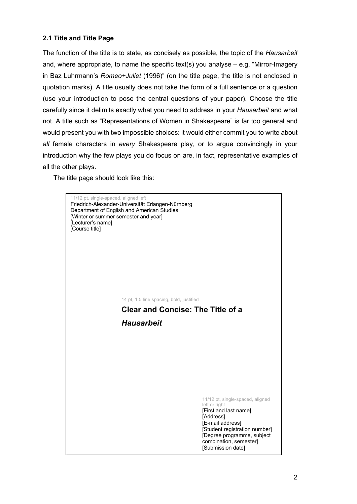# **2.1 Title and Title Page**

The function of the title is to state, as concisely as possible, the topic of the *Hausarbeit* and, where appropriate, to name the specific text(s) you analyse – e.g. "Mirror-Imagery in Baz Luhrmann's *Romeo+Juliet* (1996)" (on the title page, the title is not enclosed in quotation marks). A title usually does not take the form of a full sentence or a question (use your introduction to pose the central questions of your paper). Choose the title carefully since it delimits exactly what you need to address in your *Hausarbeit* and what not. A title such as "Representations of Women in Shakespeare" is far too general and would present you with two impossible choices: it would either commit you to write about *all* female characters in *every* Shakespeare play, or to argue convincingly in your introduction why the few plays you do focus on are, in fact, representative examples of all the other plays.

The title page should look like this:

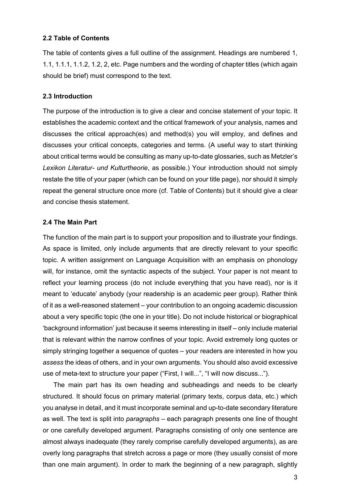#### **2.2 Table of Contents**

The table of contents gives a full outline of the assignment. Headings are numbered 1, 1.1, 1.1.1, 1.1.2, 1.2, 2, etc. Page numbers and the wording of chapter titles (which again should be brief) must correspond to the text.

#### **2.3 Introduction**

The purpose of the introduction is to give a clear and concise statement of your topic. It establishes the academic context and the critical framework of your analysis, names and discusses the critical approach(es) and method(s) you will employ, and defines and discusses your critical concepts, categories and terms. (A useful way to start thinking about critical terms would be consulting as many up-to-date glossaries, such as Metzler's *Lexikon Literatur- und Kulturtheorie*, as possible.) Your introduction should not simply restate the title of your paper (which can be found on your title page), nor should it simply repeat the general structure once more (cf. Table of Contents) but it should give a clear and concise thesis statement.

## **2.4 The Main Part**

The function of the main part is to support your proposition and to illustrate your findings. As space is limited, only include arguments that are directly relevant to your specific topic. A written assignment on Language Acquisition with an emphasis on phonology will, for instance, omit the syntactic aspects of the subject. Your paper is not meant to reflect your learning process (do not include everything that you have read), nor is it meant to 'educate' anybody (your readership is an academic peer group). Rather think of it as a well-reasoned statement – your contribution to an ongoing academic discussion about a very specific topic (the one in your title). Do not include historical or biographical 'background information' just because it seems interesting in itself – only include material that is relevant within the narrow confines of your topic. Avoid extremely long quotes or simply stringing together a sequence of quotes – your readers are interested in how you *assess* the ideas of others, and in your own arguments. You should also avoid excessive use of meta-text to structure your paper ("First, I will...", "I will now discuss...").

The main part has its own heading and subheadings and needs to be clearly structured. It should focus on primary material (primary texts, corpus data, etc.) which you analyse in detail, and it must incorporate seminal and up-to-date secondary literature as well. The text is split into *paragraphs* – each paragraph presents one line of thought or one carefully developed argument. Paragraphs consisting of only one sentence are almost always inadequate (they rarely comprise carefully developed arguments), as are overly long paragraphs that stretch across a page or more (they usually consist of more than one main argument). In order to mark the beginning of a new paragraph, slightly

3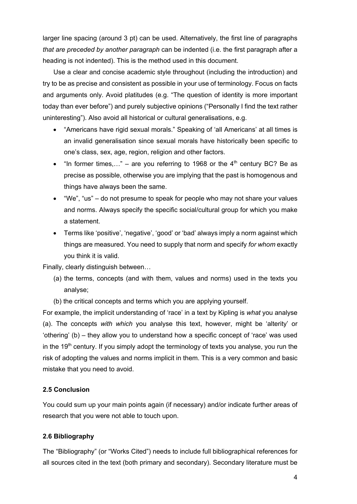larger line spacing (around 3 pt) can be used. Alternatively, the first line of paragraphs *that are preceded by another paragraph* can be indented (i.e. the first paragraph after a heading is not indented). This is the method used in this document.

Use a clear and concise academic style throughout (including the introduction) and try to be as precise and consistent as possible in your use of terminology. Focus on facts and arguments only. Avoid platitudes (e.g. "The question of identity is more important today than ever before") and purely subjective opinions ("Personally I find the text rather uninteresting"). Also avoid all historical or cultural generalisations, e.g.

- "Americans have rigid sexual morals." Speaking of 'all Americans' at all times is an invalid generalisation since sexual morals have historically been specific to one's class, sex, age, region, religion and other factors.
- "In former times,..." are you referring to 1968 or the  $4<sup>th</sup>$  century BC? Be as precise as possible, otherwise you are implying that the past is homogenous and things have always been the same.
- "We", "us" do not presume to speak for people who may not share your values and norms. Always specify the specific social/cultural group for which you make a statement.
- Terms like 'positive', 'negative', 'good' or 'bad' always imply a norm against which things are measured. You need to supply that norm and specify *for whom* exactly you think it is valid.

Finally, clearly distinguish between…

- (a) the terms, concepts (and with them, values and norms) used in the texts you analyse;
- (b) the critical concepts and terms which you are applying yourself.

For example, the implicit understanding of 'race' in a text by Kipling is *what* you analyse (a). The concepts *with which* you analyse this text, however, might be 'alterity' or 'othering' (b) – they allow you to understand how a specific concept of 'race' was used in the  $19<sup>th</sup>$  century. If you simply adopt the terminology of texts you analyse, you run the risk of adopting the values and norms implicit in them. This is a very common and basic mistake that you need to avoid.

#### **2.5 Conclusion**

You could sum up your main points again (if necessary) and/or indicate further areas of research that you were not able to touch upon.

#### **2.6 Bibliography**

The "Bibliography" (or "Works Cited") needs to include full bibliographical references for all sources cited in the text (both primary and secondary). Secondary literature must be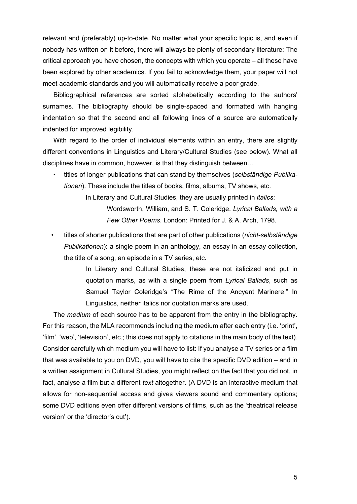relevant and (preferably) up-to-date. No matter what your specific topic is, and even if nobody has written on it before, there will always be plenty of secondary literature: The critical approach you have chosen, the concepts with which you operate – all these have been explored by other academics. If you fail to acknowledge them, your paper will not meet academic standards and you will automatically receive a poor grade.

Bibliographical references are sorted alphabetically according to the authors' surnames. The bibliography should be single-spaced and formatted with hanging indentation so that the second and all following lines of a source are automatically indented for improved legibility.

With regard to the order of individual elements within an entry, there are slightly different conventions in Linguistics and Literary/Cultural Studies (see below). What all disciplines have in common, however, is that they distinguish between…

• titles of longer publications that can stand by themselves (*selbständige Publikationen*). These include the titles of books, films, albums, TV shows, etc.

> In Literary and Cultural Studies, they are usually printed in *italics*: Wordsworth, William, and S. T. Coleridge. *Lyrical Ballads, with a Few Other Poems*. London: Printed for J. & A. Arch, 1798.

• titles of shorter publications that are part of other publications (*nicht-selbständige Publikationen*): a single poem in an anthology, an essay in an essay collection, the title of a song, an episode in a TV series, etc.

> In Literary and Cultural Studies, these are not italicized and put in quotation marks, as with a single poem from *Lyrical Ballads*, such as Samuel Taylor Coleridge's "The Rime of the Ancyent Marinere." In Linguistics, neither italics nor quotation marks are used.

The *medium* of each source has to be apparent from the entry in the bibliography. For this reason, the MLA recommends including the medium after each entry (i.e. 'print', 'film', 'web', 'television', etc.; this does not apply to citations in the main body of the text). Consider carefully which medium you will have to list: If you analyse a TV series or a film that was available to you on DVD, you will have to cite the specific DVD edition – and in a written assignment in Cultural Studies, you might reflect on the fact that you did not, in fact, analyse a film but a different *text* altogether. (A DVD is an interactive medium that allows for non-sequential access and gives viewers sound and commentary options; some DVD editions even offer different versions of films, such as the 'theatrical release version' or the 'director's cut').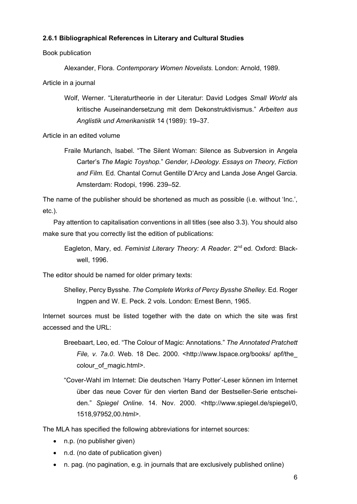#### **2.6.1 Bibliographical References in Literary and Cultural Studies**

Book publication

Alexander, Flora. *Contemporary Women Novelists.* London: Arnold, 1989.

Article in a journal

Wolf, Werner. "Literaturtheorie in der Literatur: David Lodges *Small World* als kritische Auseinandersetzung mit dem Dekonstruktivismus." *Arbeiten aus Anglistik und Amerikanistik* 14 (1989): 19–37.

Article in an edited volume

Fraile Murlanch, Isabel. "The Silent Woman: Silence as Subversion in Angela Carter's *The Magic Toyshop.*" *Gender, I-Deology. Essays on Theory, Fiction and Film.* Ed. Chantal Cornut Gentille D'Arcy and Landa Jose Angel Garcia. Amsterdam: Rodopi, 1996. 239–52.

The name of the publisher should be shortened as much as possible (i.e. without 'Inc.', etc.).

Pay attention to capitalisation conventions in all titles (see also 3.3). You should also make sure that you correctly list the edition of publications:

The editor should be named for older primary texts:

Shelley, Percy Bysshe. *The Complete Works of Percy Bysshe Shelley.* Ed. Roger Ingpen and W. E. Peck. 2 vols. London: Ernest Benn, 1965.

Internet sources must be listed together with the date on which the site was first accessed and the URL:

- Breebaart, Leo, ed. "The Colour of Magic: Annotations." *The Annotated Pratchett File, v. 7a.0*. Web. 18 Dec. 2000. <http://www.lspace.org/books/ apf/the\_ colour\_of\_magic.html>.
- "Cover-Wahl im Internet: Die deutschen 'Harry Potter'-Leser können im Internet über das neue Cover für den vierten Band der Bestseller-Serie entscheiden." *Spiegel Online*. 14. Nov. 2000. <http://www.spiegel.de/spiegel/0, 1518,97952,00.html>.

The MLA has specified the following abbreviations for internet sources:

- n.p. (no publisher given)
- n.d. (no date of publication given)
- n. pag. (no pagination, e.g. in journals that are exclusively published online)

Eagleton, Mary, ed. *Feminist Literary Theory: A Reader*. 2nd ed. Oxford: Blackwell, 1996.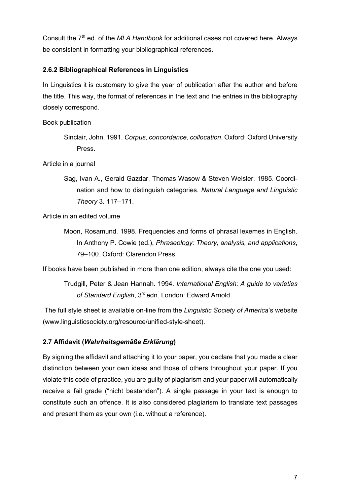Consult the 7<sup>th</sup> ed. of the *MLA Handbook* for additional cases not covered here. Always be consistent in formatting your bibliographical references.

# **2.6.2 Bibliographical References in Linguistics**

In Linguistics it is customary to give the year of publication after the author and before the title. This way, the format of references in the text and the entries in the bibliography closely correspond.

Book publication

Sinclair, John. 1991. *Corpus, concordance, collocation*. Oxford: Oxford University Press.

Article in a journal

Sag, Ivan A., Gerald Gazdar, Thomas Wasow & Steven Weisler. 1985. Coordination and how to distinguish categories. *Natural Language and Linguistic Theory* 3. 117–171.

Article in an edited volume

Moon, Rosamund. 1998. Frequencies and forms of phrasal lexemes in English. In Anthony P. Cowie (ed.), *Phraseology: Theory, analysis, and applications*, 79–100. Oxford: Clarendon Press.

If books have been published in more than one edition, always cite the one you used:

Trudgill, Peter & Jean Hannah. 1994. *International English: A guide to varieties of Standard English*, 3rd edn. London: Edward Arnold.

The full style sheet is available on-line from the *Linguistic Society of America*'s website (www.linguisticsociety.org/resource/unified-style-sheet).

## **2.7 Affidavit (***Wahrheitsgemäße Erklärung***)**

By signing the affidavit and attaching it to your paper, you declare that you made a clear distinction between your own ideas and those of others throughout your paper. If you violate this code of practice, you are guilty of plagiarism and your paper will automatically receive a fail grade ("nicht bestanden"). A single passage in your text is enough to constitute such an offence. It is also considered plagiarism to translate text passages and present them as your own (i.e. without a reference).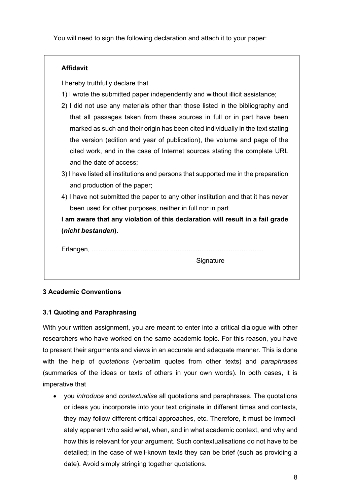You will need to sign the following declaration and attach it to your paper:

| I hereby truthfully declare that                                                   |
|------------------------------------------------------------------------------------|
| 1) I wrote the submitted paper independently and without illicit assistance;       |
| 2) I did not use any materials other than those listed in the bibliography and     |
| that all passages taken from these sources in full or in part have been            |
| marked as such and their origin has been cited individually in the text stating    |
| the version (edition and year of publication), the volume and page of the          |
| cited work, and in the case of Internet sources stating the complete URL           |
| and the date of access;                                                            |
| 3) I have listed all institutions and persons that supported me in the preparation |
| and production of the paper;                                                       |
| 4) I have not submitted the paper to any other institution and that it has never   |
| been used for other purposes, neither in full nor in part.                         |
| I am aware that any violation of this declaration will result in a fail grade      |
| (nicht bestanden).                                                                 |

# **3 Academic Conventions**

## **3.1 Quoting and Paraphrasing**

With your written assignment, you are meant to enter into a critical dialogue with other researchers who have worked on the same academic topic. For this reason, you have to present their arguments and views in an accurate and adequate manner. This is done with the help of *quotations* (verbatim quotes from other texts) and *paraphrases* (summaries of the ideas or texts of others in your own words). In both cases, it is imperative that

• you *introduce* and *contextualise* all quotations and paraphrases. The quotations or ideas you incorporate into your text originate in different times and contexts, they may follow different critical approaches, etc. Therefore, it must be immediately apparent who said what, when, and in what academic context, and why and how this is relevant for your argument. Such contextualisations do not have to be detailed; in the case of well-known texts they can be brief (such as providing a date). Avoid simply stringing together quotations.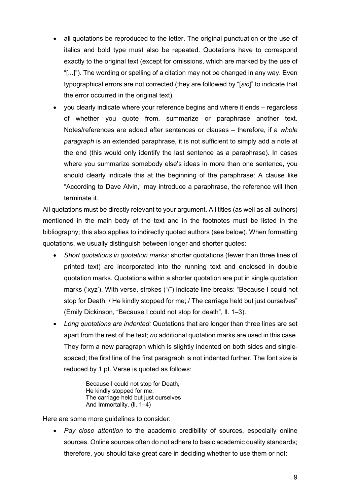- all quotations be reproduced to the letter. The original punctuation or the use of italics and bold type must also be repeated. Quotations have to correspond exactly to the original text (except for omissions, which are marked by the use of "[...]"). The wording or spelling of a citation may not be changed in any way. Even typographical errors are not corrected (they are followed by "[*sic*]" to indicate that the error occurred in the original text).
- you clearly indicate where your reference begins and where it ends regardless of whether you quote from, summarize or paraphrase another text. Notes/references are added after sentences or clauses – therefore, if a *whole paragraph* is an extended paraphrase, it is not sufficient to simply add a note at the end (this would only identify the last sentence as a paraphrase). In cases where you summarize somebody else's ideas in more than one sentence, you should clearly indicate this at the beginning of the paraphrase: A clause like "According to Dave Alvin," may introduce a paraphrase, the reference will then terminate it.

All quotations must be directly relevant to your argument. All titles (as well as all authors) mentioned in the main body of the text and in the footnotes must be listed in the bibliography; this also applies to indirectly quoted authors (see below). When formatting quotations, we usually distinguish between longer and shorter quotes:

- *Short quotations in quotation marks*: shorter quotations (fewer than three lines of printed text) are incorporated into the running text and enclosed in double quotation marks. Quotations within a shorter quotation are put in single quotation marks ('xyz'). With verse, strokes ("/") indicate line breaks: "Because I could not stop for Death, / He kindly stopped for me; / The carriage held but just ourselves" (Emily Dickinson, "Because I could not stop for death", ll. 1–3).
- *Long quotations are indented:* Quotations that are longer than three lines are set apart from the rest of the text; *no* additional quotation marks are used in this case. They form a new paragraph which is slightly indented on both sides and singlespaced; the first line of the first paragraph is not indented further. The font size is reduced by 1 pt. Verse is quoted as follows:

Because I could not stop for Death, He kindly stopped for me; The carriage held but just ourselves And Immortality. (ll. 1–4)

Here are some more quidelines to consider:

• *Pay close attention* to the academic credibility of sources, especially online sources. Online sources often do not adhere to basic academic quality standards; therefore, you should take great care in deciding whether to use them or not: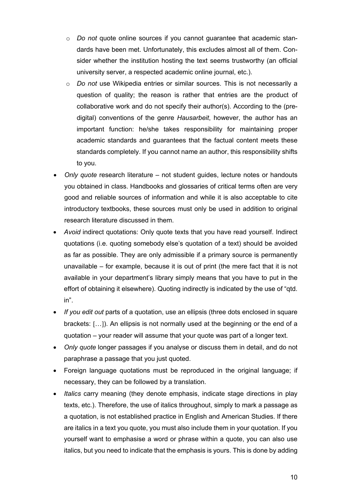- o *Do not* quote online sources if you cannot guarantee that academic standards have been met. Unfortunately, this excludes almost all of them. Consider whether the institution hosting the text seems trustworthy (an official university server, a respected academic online journal, etc.).
- o *Do not* use Wikipedia entries or similar sources. This is not necessarily a question of quality; the reason is rather that entries are the product of collaborative work and do not specify their author(s). According to the (predigital) conventions of the genre *Hausarbeit*, however, the author has an important function: he/she takes responsibility for maintaining proper academic standards and guarantees that the factual content meets these standards completely. If you cannot name an author, this responsibility shifts to you.
- *Only quote* research literature not student guides, lecture notes or handouts you obtained in class. Handbooks and glossaries of critical terms often are very good and reliable sources of information and while it is also acceptable to cite introductory textbooks, these sources must only be used in addition to original research literature discussed in them.
- *Avoid* indirect quotations: Only quote texts that you have read yourself. Indirect quotations (i.e. quoting somebody else's quotation of a text) should be avoided as far as possible. They are only admissible if a primary source is permanently unavailable – for example, because it is out of print (the mere fact that it is not available in your department's library simply means that you have to put in the effort of obtaining it elsewhere). Quoting indirectly is indicated by the use of "qtd. in".
- *If you edit out* parts of a quotation, use an ellipsis (three dots enclosed in square brackets: […]). An ellipsis is not normally used at the beginning or the end of a quotation – your reader will assume that your quote was part of a longer text.
- *Only quote* longer passages if you analyse or discuss them in detail, and do not paraphrase a passage that you just quoted.
- Foreign language quotations must be reproduced in the original language; if necessary, they can be followed by a translation.
- *Italics* carry meaning (they denote emphasis, indicate stage directions in play texts, etc.). Therefore, the use of italics throughout, simply to mark a passage as a quotation, is not established practice in English and American Studies. If there are italics in a text you quote, you must also include them in your quotation. If you yourself want to emphasise a word or phrase within a quote, you can also use italics, but you need to indicate that the emphasis is yours. This is done by adding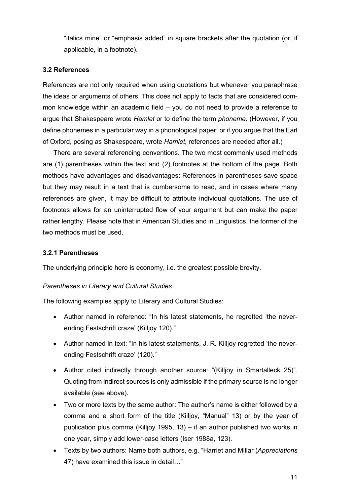"italics mine" or "emphasis added" in square brackets after the quotation (or, if applicable, in a footnote).

# **3.2 References**

References are not only required when using quotations but whenever you paraphrase the ideas or arguments of others. This does not apply to facts that are considered common knowledge within an academic field – you do not need to provide a reference to argue that Shakespeare wrote *Hamlet* or to define the term *phoneme*. (However, if you define phonemes in a particular way in a phonological paper, or if you argue that the Earl of Oxford, posing as Shakespeare, wrote *Hamlet*, references are needed after all.)

There are several referencing conventions. The two most commonly used methods are (1) parentheses within the text and (2) footnotes at the bottom of the page. Both methods have advantages and disadvantages: References in parentheses save space but they may result in a text that is cumbersome to read, and in cases where many references are given, it may be difficult to attribute individual quotations. The use of footnotes allows for an uninterrupted flow of your argument but can make the paper rather lengthy. Please note that in American Studies and in Linguistics, the former of the two methods must be used.

## **3.2.1 Parentheses**

The underlying principle here is economy, i.e. the greatest possible brevity.

## *Parentheses in Literary and Cultural Studies*

The following examples apply to Literary and Cultural Studies:

- Author named in reference: "In his latest statements, he regretted 'the neverending Festschrift craze' (Killjoy 120)."
- Author named in text: "In his latest statements, J. R. Killjoy regretted 'the neverending Festschrift craze' (120)."
- Author cited indirectly through another source: "(Killjoy in Smartalleck 25)". Quoting from indirect sources is only admissible if the primary source is no longer available (see above).
- Two or more texts by the same author: The author's name is either followed by a comma and a short form of the title (Killjoy, "Manual" 13) or by the year of publication plus comma (Killjoy 1995, 13) – if an author published two works in one year, simply add lower-case letters (Iser 1988a, 123).
- Texts by two authors: Name both authors, e.g. "Harriet and Millar (*Appreciations*  47) have examined this issue in detail…"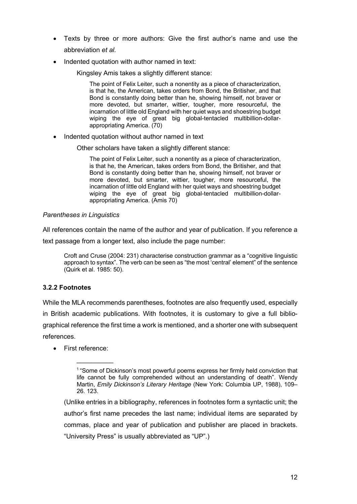- Texts by three or more authors: Give the first author's name and use the abbreviation *et al.*
- Indented quotation with author named in text:

Kingsley Amis takes a slightly different stance:

The point of Felix Leiter, such a nonentity as a piece of characterization, is that he, the American, takes orders from Bond, the Britisher, and that Bond is constantly doing better than he, showing himself, not braver or more devoted, but smarter, wittier, tougher, more resourceful, the incarnation of little old England with her quiet ways and shoestring budget wiping the eye of great big global-tentacled multibillion-dollarappropriating America. (70)

• Indented quotation without author named in text

Other scholars have taken a slightly different stance:

The point of Felix Leiter, such a nonentity as a piece of characterization, is that he, the American, takes orders from Bond, the Britisher, and that Bond is constantly doing better than he, showing himself, not braver or more devoted, but smarter, wittier, tougher, more resourceful, the incarnation of little old England with her quiet ways and shoestring budget wiping the eye of great big global-tentacled multibillion-dollarappropriating America. (Amis 70)

#### *Parentheses in Linguistics*

All references contain the name of the author and year of publication. If you reference a

text passage from a longer text, also include the page number:

Croft and Cruse (2004: 231) characterise construction grammar as a "cognitive linguistic approach to syntax". The verb can be seen as "the most 'central' element" of the sentence (Quirk et al. 1985: 50).

## **3.2.2 Footnotes**

While the MLA recommends parentheses, footnotes are also frequently used, especially in British academic publications. With footnotes, it is customary to give a full bibliographical reference the first time a work is mentioned, and a shorter one with subsequent references.

• First reference:

(Unlike entries in a bibliography, references in footnotes form a syntactic unit; the author's first name precedes the last name; individual items are separated by commas, place and year of publication and publisher are placed in brackets. "University Press" is usually abbreviated as "UP".)

<sup>&</sup>lt;sup>1</sup> "Some of Dickinson's most powerful poems express her firmly held conviction that life cannot be fully comprehended without an understanding of death". Wendy Martin, *Emily Dickinson's Literary Heritage* (New York: Columbia UP, 1988), 109– 26. 123.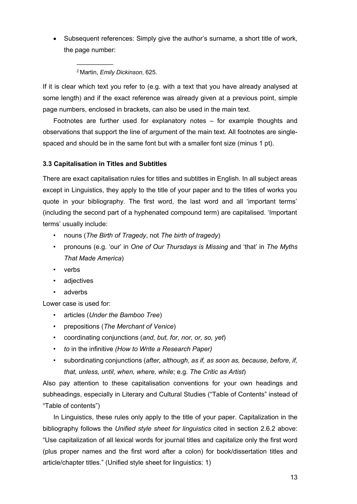• Subsequent references: Simply give the author's surname, a short title of work, the page number:

<sup>2</sup> Martin, *Emily Dickinson*, 625.

 $\frac{1}{2}$ 

If it is clear which text you refer to (e.g. with a text that you have already analysed at some length) and if the exact reference was already given at a previous point, simple page numbers, enclosed in brackets, can also be used in the main text.

Footnotes are further used for explanatory notes – for example thoughts and observations that support the line of argument of the main text. All footnotes are singlespaced and should be in the same font but with a smaller font size (minus 1 pt).

# **3.3 Capitalisation in Titles and Subtitles**

There are exact capitalisation rules for titles and subtitles in English. In all subject areas except in Linguistics, they apply to the title of your paper and to the titles of works you quote in your bibliography. The first word, the last word and all 'important terms' (including the second part of a hyphenated compound term) are capitalised. 'Important terms' usually include:

- nouns (*The Birth of Tragedy*, not *The birth of tragedy*)
- pronouns (e.g. 'our' in *One of Our Thursdays is Missing* and 'that' in *The Myths That Made America*)
- verbs
- adjectives
- adverbs

Lower case is used for:

- articles (*Under the Bamboo Tree*)
- prepositions (*The Merchant of Venice*)
- coordinating conjunctions (*and, but, for, nor, or, so, yet*)
- *to* in the infinitive *(How to Write a Research Paper)*
- subordinating conjunctions (*after, although, as if, as soon as, because, before, if, that, unless, until, when, where, while*; e.g. *The Critic as Artist*)

Also pay attention to these capitalisation conventions for your own headings and subheadings, especially in Literary and Cultural Studies ("Table of Contents" instead of "Table of contents")

In Linguistics, these rules only apply to the title of your paper. Capitalization in the bibliography follows the *Unified style sheet for linguistics* cited in section 2.6.2 above: "Use capitalization of all lexical words for journal titles and capitalize only the first word (plus proper names and the first word after a colon) for book/dissertation titles and article/chapter titles." (Unified style sheet for linguistics: 1)